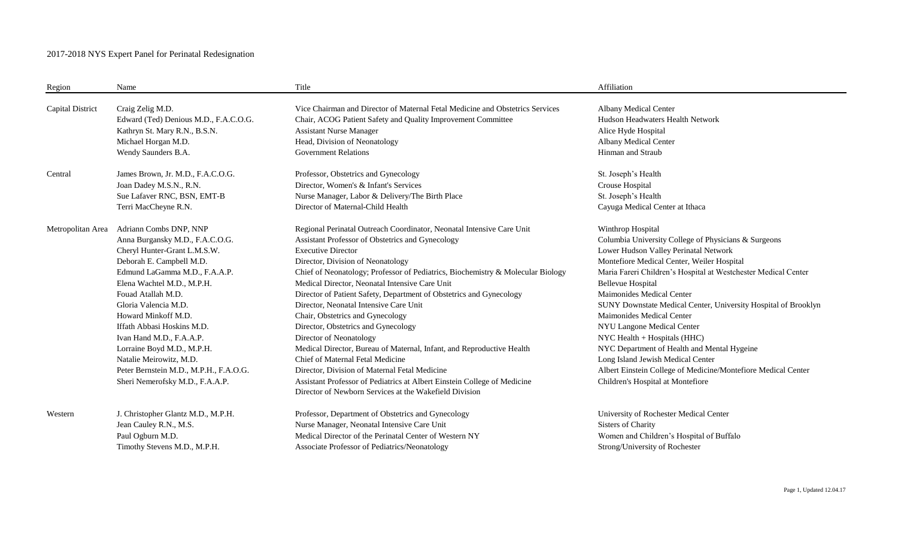## 2017-2018 NYS Expert Panel for Perinatal Redesignation

| Region                  | Name                                                                                                                                                                                                                                                                                                                                                                                                                                                      | Title                                                                                                                                                                                                                                                                                                                                                                                                                                                                                                                                                                                                                                                                                                                                                                                                                                                       | Affiliation                                                                                                                                                                                                                                                                                                                                                                                                                                                                                                                                                                                                                                               |
|-------------------------|-----------------------------------------------------------------------------------------------------------------------------------------------------------------------------------------------------------------------------------------------------------------------------------------------------------------------------------------------------------------------------------------------------------------------------------------------------------|-------------------------------------------------------------------------------------------------------------------------------------------------------------------------------------------------------------------------------------------------------------------------------------------------------------------------------------------------------------------------------------------------------------------------------------------------------------------------------------------------------------------------------------------------------------------------------------------------------------------------------------------------------------------------------------------------------------------------------------------------------------------------------------------------------------------------------------------------------------|-----------------------------------------------------------------------------------------------------------------------------------------------------------------------------------------------------------------------------------------------------------------------------------------------------------------------------------------------------------------------------------------------------------------------------------------------------------------------------------------------------------------------------------------------------------------------------------------------------------------------------------------------------------|
| <b>Capital District</b> | Craig Zelig M.D.                                                                                                                                                                                                                                                                                                                                                                                                                                          | Vice Chairman and Director of Maternal Fetal Medicine and Obstetrics Services                                                                                                                                                                                                                                                                                                                                                                                                                                                                                                                                                                                                                                                                                                                                                                               | Albany Medical Center                                                                                                                                                                                                                                                                                                                                                                                                                                                                                                                                                                                                                                     |
|                         | Edward (Ted) Denious M.D., F.A.C.O.G.                                                                                                                                                                                                                                                                                                                                                                                                                     | Chair, ACOG Patient Safety and Quality Improvement Committee                                                                                                                                                                                                                                                                                                                                                                                                                                                                                                                                                                                                                                                                                                                                                                                                | Hudson Headwaters Health Network                                                                                                                                                                                                                                                                                                                                                                                                                                                                                                                                                                                                                          |
|                         | Kathryn St. Mary R.N., B.S.N.                                                                                                                                                                                                                                                                                                                                                                                                                             | <b>Assistant Nurse Manager</b>                                                                                                                                                                                                                                                                                                                                                                                                                                                                                                                                                                                                                                                                                                                                                                                                                              | Alice Hyde Hospital                                                                                                                                                                                                                                                                                                                                                                                                                                                                                                                                                                                                                                       |
|                         | Michael Horgan M.D.                                                                                                                                                                                                                                                                                                                                                                                                                                       | Head, Division of Neonatology                                                                                                                                                                                                                                                                                                                                                                                                                                                                                                                                                                                                                                                                                                                                                                                                                               | Albany Medical Center                                                                                                                                                                                                                                                                                                                                                                                                                                                                                                                                                                                                                                     |
|                         | Wendy Saunders B.A.                                                                                                                                                                                                                                                                                                                                                                                                                                       | <b>Government Relations</b>                                                                                                                                                                                                                                                                                                                                                                                                                                                                                                                                                                                                                                                                                                                                                                                                                                 | Hinman and Straub                                                                                                                                                                                                                                                                                                                                                                                                                                                                                                                                                                                                                                         |
| Central                 | James Brown, Jr. M.D., F.A.C.O.G.                                                                                                                                                                                                                                                                                                                                                                                                                         | Professor, Obstetrics and Gynecology                                                                                                                                                                                                                                                                                                                                                                                                                                                                                                                                                                                                                                                                                                                                                                                                                        | St. Joseph's Health                                                                                                                                                                                                                                                                                                                                                                                                                                                                                                                                                                                                                                       |
|                         | Joan Dadey M.S.N., R.N.                                                                                                                                                                                                                                                                                                                                                                                                                                   | Director, Women's & Infant's Services                                                                                                                                                                                                                                                                                                                                                                                                                                                                                                                                                                                                                                                                                                                                                                                                                       | Crouse Hospital                                                                                                                                                                                                                                                                                                                                                                                                                                                                                                                                                                                                                                           |
|                         | Sue Lafaver RNC, BSN, EMT-B                                                                                                                                                                                                                                                                                                                                                                                                                               | Nurse Manager, Labor & Delivery/The Birth Place                                                                                                                                                                                                                                                                                                                                                                                                                                                                                                                                                                                                                                                                                                                                                                                                             | St. Joseph's Health                                                                                                                                                                                                                                                                                                                                                                                                                                                                                                                                                                                                                                       |
|                         | Terri MacCheyne R.N.                                                                                                                                                                                                                                                                                                                                                                                                                                      | Director of Maternal-Child Health                                                                                                                                                                                                                                                                                                                                                                                                                                                                                                                                                                                                                                                                                                                                                                                                                           | Cayuga Medical Center at Ithaca                                                                                                                                                                                                                                                                                                                                                                                                                                                                                                                                                                                                                           |
| Metropolitan Area       | Adriann Combs DNP, NNP<br>Anna Burgansky M.D., F.A.C.O.G.<br>Cheryl Hunter-Grant L.M.S.W.<br>Deborah E. Campbell M.D.<br>Edmund LaGamma M.D., F.A.A.P.<br>Elena Wachtel M.D., M.P.H.<br>Fouad Atallah M.D.<br>Gloria Valencia M.D.<br>Howard Minkoff M.D.<br>Iffath Abbasi Hoskins M.D.<br>Ivan Hand M.D., F.A.A.P.<br>Lorraine Boyd M.D., M.P.H.<br>Natalie Meirowitz, M.D.<br>Peter Bernstein M.D., M.P.H., F.A.O.G.<br>Sheri Nemerofsky M.D., F.A.A.P. | Regional Perinatal Outreach Coordinator, Neonatal Intensive Care Unit<br>Assistant Professor of Obstetrics and Gynecology<br><b>Executive Director</b><br>Director, Division of Neonatology<br>Chief of Neonatology; Professor of Pediatrics, Biochemistry & Molecular Biology<br>Medical Director, Neonatal Intensive Care Unit<br>Director of Patient Safety, Department of Obstetrics and Gynecology<br>Director, Neonatal Intensive Care Unit<br>Chair, Obstetrics and Gynecology<br>Director, Obstetrics and Gynecology<br>Director of Neonatology<br>Medical Director, Bureau of Maternal, Infant, and Reproductive Health<br>Chief of Maternal Fetal Medicine<br>Director, Division of Maternal Fetal Medicine<br>Assistant Professor of Pediatrics at Albert Einstein College of Medicine<br>Director of Newborn Services at the Wakefield Division | Winthrop Hospital<br>Columbia University College of Physicians & Surgeons<br>Lower Hudson Valley Perinatal Network<br>Montefiore Medical Center, Weiler Hospital<br>Maria Fareri Children's Hospital at Westchester Medical Center<br><b>Bellevue Hospital</b><br>Maimonides Medical Center<br>SUNY Downstate Medical Center, University Hospital of Brooklyn<br><b>Maimonides Medical Center</b><br>NYU Langone Medical Center<br>NYC Health + Hospitals (HHC)<br>NYC Department of Health and Mental Hygeine<br>Long Island Jewish Medical Center<br>Albert Einstein College of Medicine/Montefiore Medical Center<br>Children's Hospital at Montefiore |
| Western                 | J. Christopher Glantz M.D., M.P.H.                                                                                                                                                                                                                                                                                                                                                                                                                        | Professor, Department of Obstetrics and Gynecology                                                                                                                                                                                                                                                                                                                                                                                                                                                                                                                                                                                                                                                                                                                                                                                                          | University of Rochester Medical Center                                                                                                                                                                                                                                                                                                                                                                                                                                                                                                                                                                                                                    |
|                         | Jean Cauley R.N., M.S.                                                                                                                                                                                                                                                                                                                                                                                                                                    | Nurse Manager, Neonatal Intensive Care Unit                                                                                                                                                                                                                                                                                                                                                                                                                                                                                                                                                                                                                                                                                                                                                                                                                 | Sisters of Charity                                                                                                                                                                                                                                                                                                                                                                                                                                                                                                                                                                                                                                        |
|                         | Paul Ogburn M.D.                                                                                                                                                                                                                                                                                                                                                                                                                                          | Medical Director of the Perinatal Center of Western NY                                                                                                                                                                                                                                                                                                                                                                                                                                                                                                                                                                                                                                                                                                                                                                                                      | Women and Children's Hospital of Buffalo                                                                                                                                                                                                                                                                                                                                                                                                                                                                                                                                                                                                                  |
|                         | Timothy Stevens M.D., M.P.H.                                                                                                                                                                                                                                                                                                                                                                                                                              | Associate Professor of Pediatrics/Neonatology                                                                                                                                                                                                                                                                                                                                                                                                                                                                                                                                                                                                                                                                                                                                                                                                               | Strong/University of Rochester                                                                                                                                                                                                                                                                                                                                                                                                                                                                                                                                                                                                                            |

٠